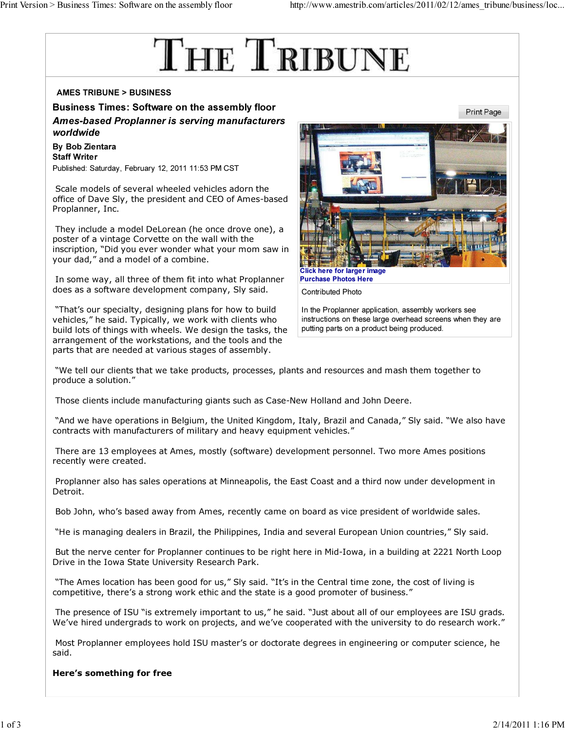# THE TRIBUNE

# AMES TRIBUNE > BUSINESS

Business Times: Software on the assembly floor Ames-based Proplanner is serving manufacturers worldwide

By Bob Zientara Staff Writer Published: Saturday, February 12, 2011 11:53 PM CST

 Scale models of several wheeled vehicles adorn the office of Dave Sly, the president and CEO of Ames-based Proplanner, Inc.

 They include a model DeLorean (he once drove one), a poster of a vintage Corvette on the wall with the inscription, "Did you ever wonder what your mom saw in your dad," and a model of a combine.

 In some way, all three of them fit into what Proplanner does as a software development company, Sly said.

 "That's our specialty, designing plans for how to build vehicles," he said. Typically, we work with clients who build lots of things with wheels. We design the tasks, the arrangement of the workstations, and the tools and the parts that are needed at various stages of assembly.



Contributed Photo

In the Proplanner application, assembly workers see instructions on these large overhead screens when they are putting parts on a product being produced.

 "We tell our clients that we take products, processes, plants and resources and mash them together to produce a solution."

Those clients include manufacturing giants such as Case-New Holland and John Deere.

 "And we have operations in Belgium, the United Kingdom, Italy, Brazil and Canada," Sly said. "We also have contracts with manufacturers of military and heavy equipment vehicles."

 There are 13 employees at Ames, mostly (software) development personnel. Two more Ames positions recently were created.

 Proplanner also has sales operations at Minneapolis, the East Coast and a third now under development in Detroit.

Bob John, who's based away from Ames, recently came on board as vice president of worldwide sales.

"He is managing dealers in Brazil, the Philippines, India and several European Union countries," Sly said.

 But the nerve center for Proplanner continues to be right here in Mid-Iowa, in a building at 2221 North Loop Drive in the Iowa State University Research Park.

 "The Ames location has been good for us," Sly said. "It's in the Central time zone, the cost of living is competitive, there's a strong work ethic and the state is a good promoter of business."

 The presence of ISU "is extremely important to us," he said. "Just about all of our employees are ISU grads. We've hired undergrads to work on projects, and we've cooperated with the university to do research work."

 Most Proplanner employees hold ISU master's or doctorate degrees in engineering or computer science, he said.

### Here's something for free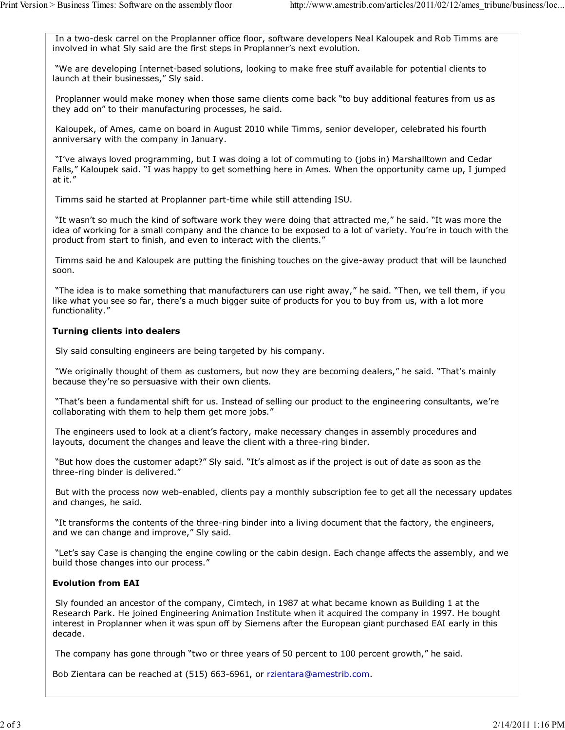In a two-desk carrel on the Proplanner office floor, software developers Neal Kaloupek and Rob Timms are involved in what Sly said are the first steps in Proplanner's next evolution.

 "We are developing Internet-based solutions, looking to make free stuff available for potential clients to launch at their businesses," Sly said.

 Proplanner would make money when those same clients come back "to buy additional features from us as they add on" to their manufacturing processes, he said.

 Kaloupek, of Ames, came on board in August 2010 while Timms, senior developer, celebrated his fourth anniversary with the company in January.

 "I've always loved programming, but I was doing a lot of commuting to (jobs in) Marshalltown and Cedar Falls," Kaloupek said. "I was happy to get something here in Ames. When the opportunity came up, I jumped at it."

Timms said he started at Proplanner part-time while still attending ISU.

 "It wasn't so much the kind of software work they were doing that attracted me," he said. "It was more the idea of working for a small company and the chance to be exposed to a lot of variety. You're in touch with the product from start to finish, and even to interact with the clients."

 Timms said he and Kaloupek are putting the finishing touches on the give-away product that will be launched soon.

 "The idea is to make something that manufacturers can use right away," he said. "Then, we tell them, if you like what you see so far, there's a much bigger suite of products for you to buy from us, with a lot more functionality."

## Turning clients into dealers

Sly said consulting engineers are being targeted by his company.

 "We originally thought of them as customers, but now they are becoming dealers," he said. "That's mainly because they're so persuasive with their own clients.

 "That's been a fundamental shift for us. Instead of selling our product to the engineering consultants, we're collaborating with them to help them get more jobs."

 The engineers used to look at a client's factory, make necessary changes in assembly procedures and layouts, document the changes and leave the client with a three-ring binder.

 "But how does the customer adapt?" Sly said. "It's almost as if the project is out of date as soon as the three-ring binder is delivered."

 But with the process now web-enabled, clients pay a monthly subscription fee to get all the necessary updates and changes, he said.

 "It transforms the contents of the three-ring binder into a living document that the factory, the engineers, and we can change and improve," Sly said.

 "Let's say Case is changing the engine cowling or the cabin design. Each change affects the assembly, and we build those changes into our process."

# Evolution from EAI

 Sly founded an ancestor of the company, Cimtech, in 1987 at what became known as Building 1 at the Research Park. He joined Engineering Animation Institute when it acquired the company in 1997. He bought interest in Proplanner when it was spun off by Siemens after the European giant purchased EAI early in this decade.

The company has gone through "two or three years of 50 percent to 100 percent growth," he said.

Bob Zientara can be reached at (515) 663-6961, or rzientara@amestrib.com.